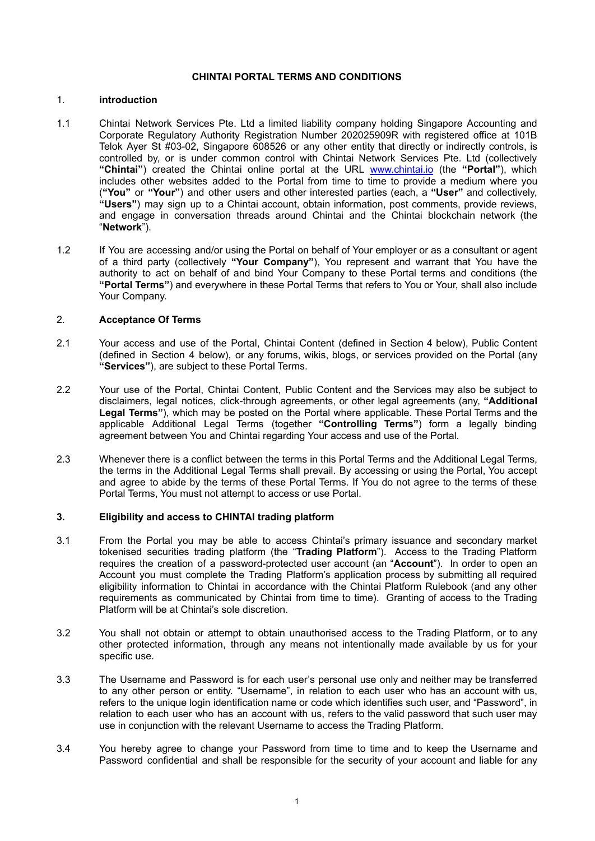## **CHINTAI PORTAL TERMS AND CONDITIONS**

## 1. **introduction**

- 1.1 Chintai Network Services Pte. Ltd a limited liability company holding Singapore Accounting and Corporate Regulatory Authority Registration Number 202025909R with registered office at 101B Telok Ayer St #03-02, Singapore 608526 or any other entity that directly or indirectly controls, is controlled by, or is under common control with Chintai Network Services Pte. Ltd (collectively **"Chintai"**) created the Chintai online portal at the URL [www.chintai.io](http://www.chintai.io) (the **"Portal"**), which includes other websites added to the Portal from time to time to provide a medium where you (**"You"** or **"Your"**) and other users and other interested parties (each, a **"User"** and collectively, **"Users"**) may sign up to a Chintai account, obtain information, post comments, provide reviews, and engage in conversation threads around Chintai and the Chintai blockchain network (the "**Network**").
- 1.2 If You are accessing and/or using the Portal on behalf of Your employer or as a consultant or agent of a third party (collectively **"Your Company"**), You represent and warrant that You have the authority to act on behalf of and bind Your Company to these Portal terms and conditions (the **"Portal Terms"**) and everywhere in these Portal Terms that refers to You or Your, shall also include Your Company.

## 2. **Acceptance Of Terms**

- 2.1 Your access and use of the Portal, Chintai Content (defined in Section 4 below), Public Content (defined in Section 4 below), or any forums, wikis, blogs, or services provided on the Portal (any **"Services"**), are subject to these Portal Terms.
- 2.2 Your use of the Portal, Chintai Content, Public Content and the Services may also be subject to disclaimers, legal notices, click-through agreements, or other legal agreements (any, **"Additional Legal Terms"**), which may be posted on the Portal where applicable. These Portal Terms and the applicable Additional Legal Terms (together **"Controlling Terms"**) form a legally binding agreement between You and Chintai regarding Your access and use of the Portal.
- 2.3 Whenever there is a conflict between the terms in this Portal Terms and the Additional Legal Terms, the terms in the Additional Legal Terms shall prevail. By accessing or using the Portal, You accept and agree to abide by the terms of these Portal Terms. If You do not agree to the terms of these Portal Terms, You must not attempt to access or use Portal.

## **3. Eligibility and access to CHINTAI trading platform**

- 3.1 From the Portal you may be able to access Chintai's primary issuance and secondary market tokenised securities trading platform (the "**Trading Platform**"). Access to the Trading Platform requires the creation of a password-protected user account (an "**Account**"). In order to open an Account you must complete the Trading Platform's application process by submitting all required eligibility information to Chintai in accordance with the Chintai Platform Rulebook (and any other requirements as communicated by Chintai from time to time). Granting of access to the Trading Platform will be at Chintai's sole discretion.
- 3.2 You shall not obtain or attempt to obtain unauthorised access to the Trading Platform, or to any other protected information, through any means not intentionally made available by us for your specific use.
- 3.3 The Username and Password is for each user's personal use only and neither may be transferred to any other person or entity. "Username", in relation to each user who has an account with us, refers to the unique login identification name or code which identifies such user, and "Password", in relation to each user who has an account with us, refers to the valid password that such user may use in conjunction with the relevant Username to access the Trading Platform.
- 3.4 You hereby agree to change your Password from time to time and to keep the Username and Password confidential and shall be responsible for the security of your account and liable for any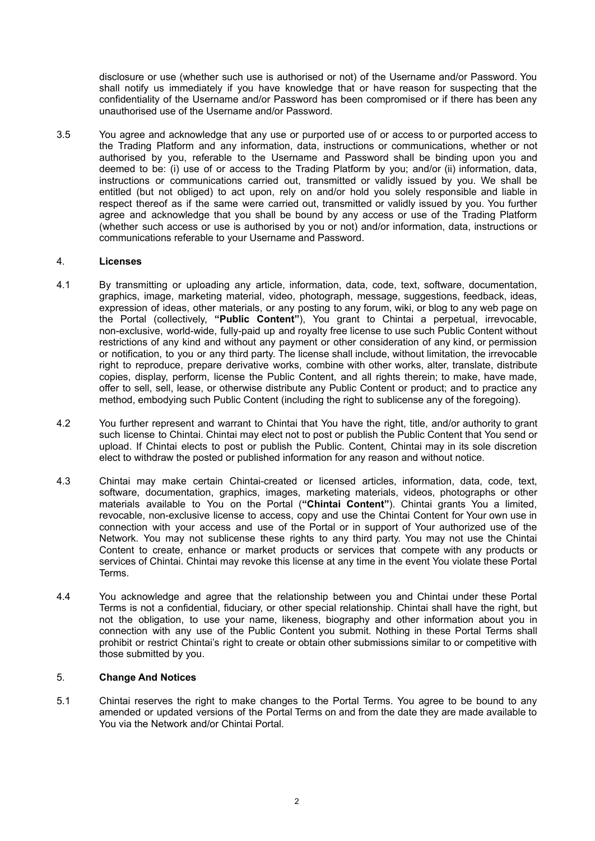disclosure or use (whether such use is authorised or not) of the Username and/or Password. You shall notify us immediately if you have knowledge that or have reason for suspecting that the confidentiality of the Username and/or Password has been compromised or if there has been any unauthorised use of the Username and/or Password.

3.5 You agree and acknowledge that any use or purported use of or access to or purported access to the Trading Platform and any information, data, instructions or communications, whether or not authorised by you, referable to the Username and Password shall be binding upon you and deemed to be: (i) use of or access to the Trading Platform by you; and/or (ii) information, data, instructions or communications carried out, transmitted or validly issued by you. We shall be entitled (but not obliged) to act upon, rely on and/or hold you solely responsible and liable in respect thereof as if the same were carried out, transmitted or validly issued by you. You further agree and acknowledge that you shall be bound by any access or use of the Trading Platform (whether such access or use is authorised by you or not) and/or information, data, instructions or communications referable to your Username and Password.

## 4. **Licenses**

- 4.1 By transmitting or uploading any article, information, data, code, text, software, documentation, graphics, image, marketing material, video, photograph, message, suggestions, feedback, ideas, expression of ideas, other materials, or any posting to any forum, wiki, or blog to any web page on the Portal (collectively, **"Public Content"**), You grant to Chintai a perpetual, irrevocable, non-exclusive, world-wide, fully-paid up and royalty free license to use such Public Content without restrictions of any kind and without any payment or other consideration of any kind, or permission or notification, to you or any third party. The license shall include, without limitation, the irrevocable right to reproduce, prepare derivative works, combine with other works, alter, translate, distribute copies, display, perform, license the Public Content, and all rights therein; to make, have made, offer to sell, sell, lease, or otherwise distribute any Public Content or product; and to practice any method, embodying such Public Content (including the right to sublicense any of the foregoing).
- 4.2 You further represent and warrant to Chintai that You have the right, title, and/or authority to grant such license to Chintai. Chintai may elect not to post or publish the Public Content that You send or upload. If Chintai elects to post or publish the Public. Content, Chintai may in its sole discretion elect to withdraw the posted or published information for any reason and without notice.
- 4.3 Chintai may make certain Chintai-created or licensed articles, information, data, code, text, software, documentation, graphics, images, marketing materials, videos, photographs or other materials available to You on the Portal (**"Chintai Content"**). Chintai grants You a limited, revocable, non-exclusive license to access, copy and use the Chintai Content for Your own use in connection with your access and use of the Portal or in support of Your authorized use of the Network. You may not sublicense these rights to any third party. You may not use the Chintai Content to create, enhance or market products or services that compete with any products or services of Chintai. Chintai may revoke this license at any time in the event You violate these Portal Terms.
- 4.4 You acknowledge and agree that the relationship between you and Chintai under these Portal Terms is not a confidential, fiduciary, or other special relationship. Chintai shall have the right, but not the obligation, to use your name, likeness, biography and other information about you in connection with any use of the Public Content you submit. Nothing in these Portal Terms shall prohibit or restrict Chintai's right to create or obtain other submissions similar to or competitive with those submitted by you.

# 5. **Change And Notices**

5.1 Chintai reserves the right to make changes to the Portal Terms. You agree to be bound to any amended or updated versions of the Portal Terms on and from the date they are made available to You via the Network and/or Chintai Portal.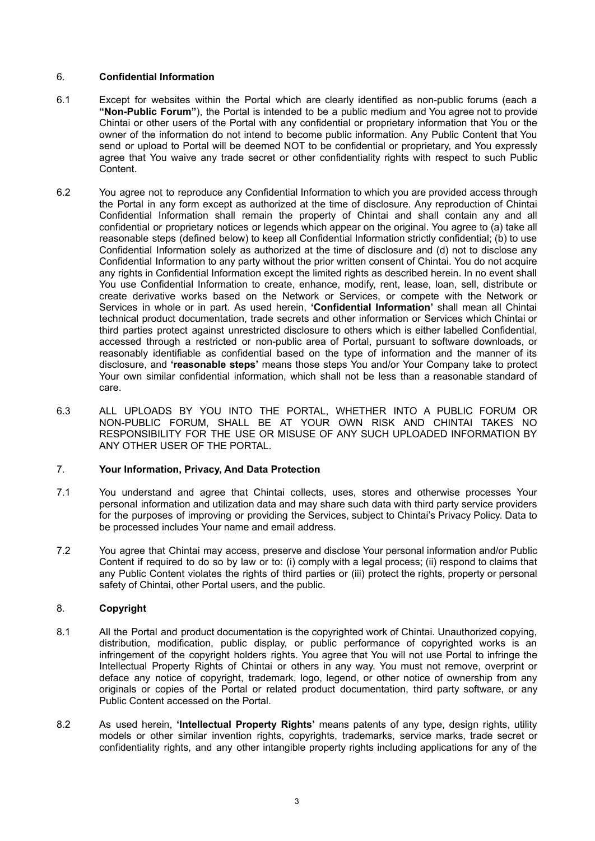## 6. **Confidential Information**

- 6.1 Except for websites within the Portal which are clearly identified as non-public forums (each a **"Non-Public Forum"**), the Portal is intended to be a public medium and You agree not to provide Chintai or other users of the Portal with any confidential or proprietary information that You or the owner of the information do not intend to become public information. Any Public Content that You send or upload to Portal will be deemed NOT to be confidential or proprietary, and You expressly agree that You waive any trade secret or other confidentiality rights with respect to such Public Content.
- 6.2 You agree not to reproduce any Confidential Information to which you are provided access through the Portal in any form except as authorized at the time of disclosure. Any reproduction of Chintai Confidential Information shall remain the property of Chintai and shall contain any and all confidential or proprietary notices or legends which appear on the original. You agree to (a) take all reasonable steps (defined below) to keep all Confidential Information strictly confidential; (b) to use Confidential Information solely as authorized at the time of disclosure and (d) not to disclose any Confidential Information to any party without the prior written consent of Chintai. You do not acquire any rights in Confidential Information except the limited rights as described herein. In no event shall You use Confidential Information to create, enhance, modify, rent, lease, loan, sell, distribute or create derivative works based on the Network or Services, or compete with the Network or Services in whole or in part. As used herein, **'Confidential Information'** shall mean all Chintai technical product documentation, trade secrets and other information or Services which Chintai or third parties protect against unrestricted disclosure to others which is either labelled Confidential, accessed through a restricted or non-public area of Portal, pursuant to software downloads, or reasonably identifiable as confidential based on the type of information and the manner of its disclosure, and **'reasonable steps'** means those steps You and/or Your Company take to protect Your own similar confidential information, which shall not be less than a reasonable standard of care.
- 6.3 ALL UPLOADS BY YOU INTO THE PORTAL, WHETHER INTO A PUBLIC FORUM OR NON-PUBLIC FORUM, SHALL BE AT YOUR OWN RISK AND CHINTAI TAKES NO RESPONSIBILITY FOR THE USE OR MISUSE OF ANY SUCH UPLOADED INFORMATION BY ANY OTHER USER OF THE PORTAL.

## 7. **Your Information, Privacy, And Data Protection**

- 7.1 You understand and agree that Chintai collects, uses, stores and otherwise processes Your personal information and utilization data and may share such data with third party service providers for the purposes of improving or providing the Services, subject to Chintai's Privacy Policy. Data to be processed includes Your name and email address.
- 7.2 You agree that Chintai may access, preserve and disclose Your personal information and/or Public Content if required to do so by law or to: (i) comply with a legal process; (ii) respond to claims that any Public Content violates the rights of third parties or (iii) protect the rights, property or personal safety of Chintai, other Portal users, and the public.

## 8. **Copyright**

- 8.1 All the Portal and product documentation is the copyrighted work of Chintai. Unauthorized copying, distribution, modification, public display, or public performance of copyrighted works is an infringement of the copyright holders rights. You agree that You will not use Portal to infringe the Intellectual Property Rights of Chintai or others in any way. You must not remove, overprint or deface any notice of copyright, trademark, logo, legend, or other notice of ownership from any originals or copies of the Portal or related product documentation, third party software, or any Public Content accessed on the Portal.
- 8.2 As used herein, **'Intellectual Property Rights'** means patents of any type, design rights, utility models or other similar invention rights, copyrights, trademarks, service marks, trade secret or confidentiality rights, and any other intangible property rights including applications for any of the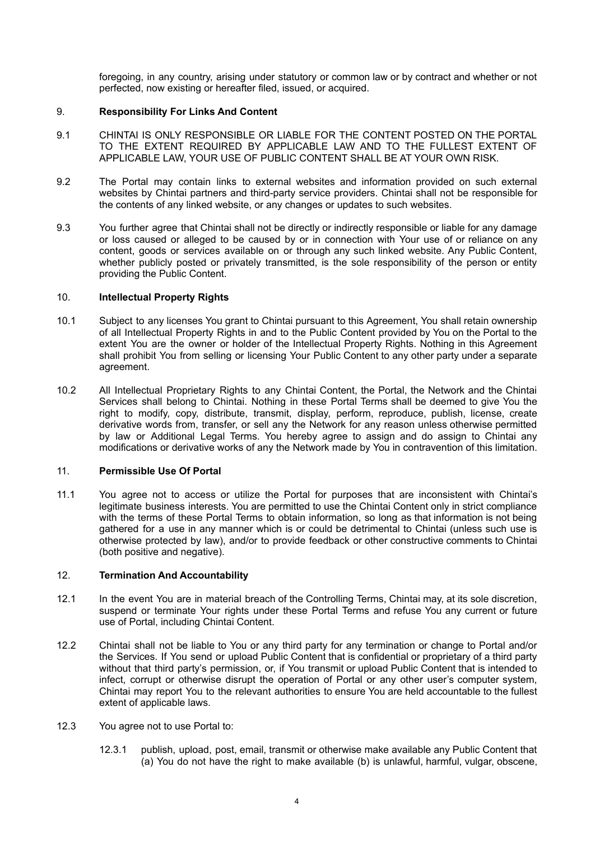foregoing, in any country, arising under statutory or common law or by contract and whether or not perfected, now existing or hereafter filed, issued, or acquired.

## 9. **Responsibility For Links And Content**

- 9.1 CHINTAI IS ONLY RESPONSIBLE OR LIABLE FOR THE CONTENT POSTED ON THE PORTAL TO THE EXTENT REQUIRED BY APPLICABLE LAW AND TO THE FULLEST EXTENT OF APPLICABLE LAW, YOUR USE OF PUBLIC CONTENT SHALL BE AT YOUR OWN RISK.
- 9.2 The Portal may contain links to external websites and information provided on such external websites by Chintai partners and third-party service providers. Chintai shall not be responsible for the contents of any linked website, or any changes or updates to such websites.
- 9.3 You further agree that Chintai shall not be directly or indirectly responsible or liable for any damage or loss caused or alleged to be caused by or in connection with Your use of or reliance on any content, goods or services available on or through any such linked website. Any Public Content, whether publicly posted or privately transmitted, is the sole responsibility of the person or entity providing the Public Content.

### 10. **Intellectual Property Rights**

- 10.1 Subject to any licenses You grant to Chintai pursuant to this Agreement, You shall retain ownership of all Intellectual Property Rights in and to the Public Content provided by You on the Portal to the extent You are the owner or holder of the Intellectual Property Rights. Nothing in this Agreement shall prohibit You from selling or licensing Your Public Content to any other party under a separate agreement.
- 10.2 All Intellectual Proprietary Rights to any Chintai Content, the Portal, the Network and the Chintai Services shall belong to Chintai. Nothing in these Portal Terms shall be deemed to give You the right to modify, copy, distribute, transmit, display, perform, reproduce, publish, license, create derivative words from, transfer, or sell any the Network for any reason unless otherwise permitted by law or Additional Legal Terms. You hereby agree to assign and do assign to Chintai any modifications or derivative works of any the Network made by You in contravention of this limitation.

### 11. **Permissible Use Of Portal**

11.1 You agree not to access or utilize the Portal for purposes that are inconsistent with Chintai's legitimate business interests. You are permitted to use the Chintai Content only in strict compliance with the terms of these Portal Terms to obtain information, so long as that information is not being gathered for a use in any manner which is or could be detrimental to Chintai (unless such use is otherwise protected by law), and/or to provide feedback or other constructive comments to Chintai (both positive and negative).

## 12. **Termination And Accountability**

- 12.1 In the event You are in material breach of the Controlling Terms, Chintai may, at its sole discretion, suspend or terminate Your rights under these Portal Terms and refuse You any current or future use of Portal, including Chintai Content.
- 12.2 Chintai shall not be liable to You or any third party for any termination or change to Portal and/or the Services. If You send or upload Public Content that is confidential or proprietary of a third party without that third party's permission, or, if You transmit or upload Public Content that is intended to infect, corrupt or otherwise disrupt the operation of Portal or any other user's computer system, Chintai may report You to the relevant authorities to ensure You are held accountable to the fullest extent of applicable laws.
- 12.3 You agree not to use Portal to:
	- 12.3.1 publish, upload, post, email, transmit or otherwise make available any Public Content that (a) You do not have the right to make available (b) is unlawful, harmful, vulgar, obscene,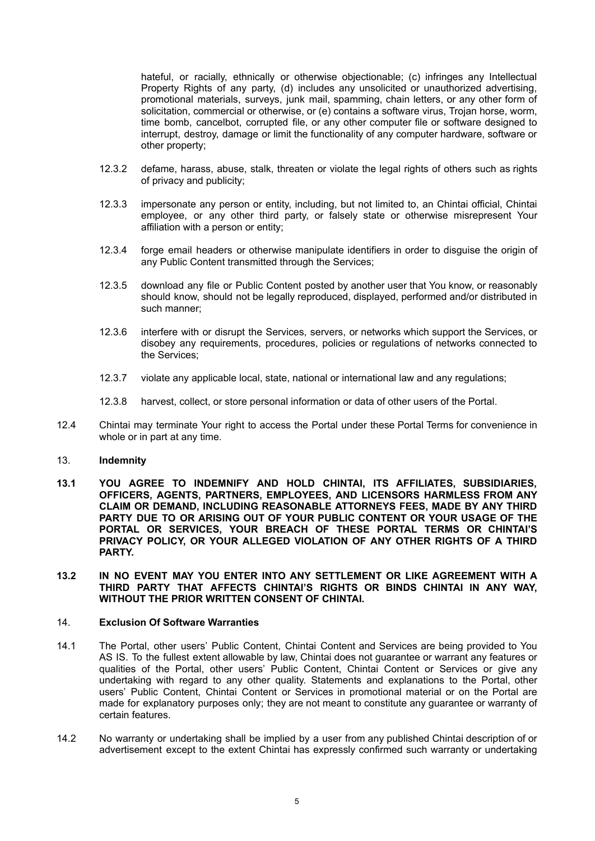hateful, or racially, ethnically or otherwise objectionable; (c) infringes any Intellectual Property Rights of any party, (d) includes any unsolicited or unauthorized advertising, promotional materials, surveys, junk mail, spamming, chain letters, or any other form of solicitation, commercial or otherwise, or (e) contains a software virus, Trojan horse, worm, time bomb, cancelbot, corrupted file, or any other computer file or software designed to interrupt, destroy, damage or limit the functionality of any computer hardware, software or other property;

- 12.3.2 defame, harass, abuse, stalk, threaten or violate the legal rights of others such as rights of privacy and publicity;
- 12.3.3 impersonate any person or entity, including, but not limited to, an Chintai official, Chintai employee, or any other third party, or falsely state or otherwise misrepresent Your affiliation with a person or entity;
- 12.3.4 forge email headers or otherwise manipulate identifiers in order to disguise the origin of any Public Content transmitted through the Services;
- 12.3.5 download any file or Public Content posted by another user that You know, or reasonably should know, should not be legally reproduced, displayed, performed and/or distributed in such manner;
- 12.3.6 interfere with or disrupt the Services, servers, or networks which support the Services, or disobey any requirements, procedures, policies or regulations of networks connected to the Services;
- 12.3.7 violate any applicable local, state, national or international law and any regulations;
- 12.3.8 harvest, collect, or store personal information or data of other users of the Portal.
- 12.4 Chintai may terminate Your right to access the Portal under these Portal Terms for convenience in whole or in part at any time.

### 13. **Indemnity**

- **13.1 YOU AGREE TO INDEMNIFY AND HOLD CHINTAI, ITS AFFILIATES, SUBSIDIARIES, OFFICERS, AGENTS, PARTNERS, EMPLOYEES, AND LICENSORS HARMLESS FROM ANY CLAIM OR DEMAND, INCLUDING REASONABLE ATTORNEYS FEES, MADE BY ANY THIRD PARTY DUE TO OR ARISING OUT OF YOUR PUBLIC CONTENT OR YOUR USAGE OF THE PORTAL OR SERVICES, YOUR BREACH OF THESE PORTAL TERMS OR CHINTAI'S PRIVACY POLICY, OR YOUR ALLEGED VIOLATION OF ANY OTHER RIGHTS OF A THIRD PARTY.**
- **13.2 IN NO EVENT MAY YOU ENTER INTO ANY SETTLEMENT OR LIKE AGREEMENT WITH A THIRD PARTY THAT AFFECTS CHINTAI'S RIGHTS OR BINDS CHINTAI IN ANY WAY, WITHOUT THE PRIOR WRITTEN CONSENT OF CHINTAI.**

#### 14. **Exclusion Of Software Warranties**

- 14.1 The Portal, other users' Public Content, Chintai Content and Services are being provided to You AS IS. To the fullest extent allowable by law, Chintai does not guarantee or warrant any features or qualities of the Portal, other users' Public Content, Chintai Content or Services or give any undertaking with regard to any other quality. Statements and explanations to the Portal, other users' Public Content, Chintai Content or Services in promotional material or on the Portal are made for explanatory purposes only; they are not meant to constitute any guarantee or warranty of certain features.
- 14.2 No warranty or undertaking shall be implied by a user from any published Chintai description of or advertisement except to the extent Chintai has expressly confirmed such warranty or undertaking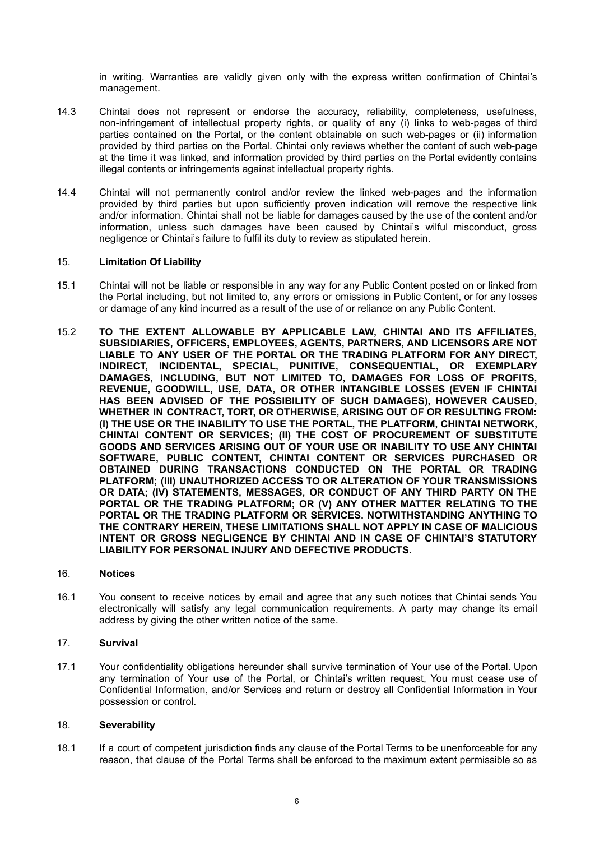in writing. Warranties are validly given only with the express written confirmation of Chintai's management.

- 14.3 Chintai does not represent or endorse the accuracy, reliability, completeness, usefulness, non-infringement of intellectual property rights, or quality of any (i) links to web-pages of third parties contained on the Portal, or the content obtainable on such web-pages or (ii) information provided by third parties on the Portal. Chintai only reviews whether the content of such web-page at the time it was linked, and information provided by third parties on the Portal evidently contains illegal contents or infringements against intellectual property rights.
- 14.4 Chintai will not permanently control and/or review the linked web-pages and the information provided by third parties but upon sufficiently proven indication will remove the respective link and/or information. Chintai shall not be liable for damages caused by the use of the content and/or information, unless such damages have been caused by Chintai's wilful misconduct, gross negligence or Chintai's failure to fulfil its duty to review as stipulated herein.

## 15. **Limitation Of Liability**

- 15.1 Chintai will not be liable or responsible in any way for any Public Content posted on or linked from the Portal including, but not limited to, any errors or omissions in Public Content, or for any losses or damage of any kind incurred as a result of the use of or reliance on any Public Content.
- 15.2 **TO THE EXTENT ALLOWABLE BY APPLICABLE LAW, CHINTAI AND ITS AFFILIATES, SUBSIDIARIES, OFFICERS, EMPLOYEES, AGENTS, PARTNERS, AND LICENSORS ARE NOT LIABLE TO ANY USER OF THE PORTAL OR THE TRADING PLATFORM FOR ANY DIRECT, INDIRECT, INCIDENTAL, SPECIAL, PUNITIVE, CONSEQUENTIAL, OR EXEMPLARY DAMAGES, INCLUDING, BUT NOT LIMITED TO, DAMAGES FOR LOSS OF PROFITS, REVENUE, GOODWILL, USE, DATA, OR OTHER INTANGIBLE LOSSES (EVEN IF CHINTAI HAS BEEN ADVISED OF THE POSSIBILITY OF SUCH DAMAGES), HOWEVER CAUSED, WHETHER IN CONTRACT, TORT, OR OTHERWISE, ARISING OUT OF OR RESULTING FROM: (I) THE USE OR THE INABILITY TO USE THE PORTAL, THE PLATFORM, CHINTAI NETWORK, CHINTAI CONTENT OR SERVICES; (II) THE COST OF PROCUREMENT OF SUBSTITUTE GOODS AND SERVICES ARISING OUT OF YOUR USE OR INABILITY TO USE ANY CHINTAI SOFTWARE, PUBLIC CONTENT, CHINTAI CONTENT OR SERVICES PURCHASED OR OBTAINED DURING TRANSACTIONS CONDUCTED ON THE PORTAL OR TRADING PLATFORM; (III) UNAUTHORIZED ACCESS TO OR ALTERATION OF YOUR TRANSMISSIONS OR DATA; (IV) STATEMENTS, MESSAGES, OR CONDUCT OF ANY THIRD PARTY ON THE PORTAL OR THE TRADING PLATFORM; OR (V) ANY OTHER MATTER RELATING TO THE PORTAL OR THE TRADING PLATFORM OR SERVICES. NOTWITHSTANDING ANYTHING TO THE CONTRARY HEREIN, THESE LIMITATIONS SHALL NOT APPLY IN CASE OF MALICIOUS INTENT OR GROSS NEGLIGENCE BY CHINTAI AND IN CASE OF CHINTAI'S STATUTORY LIABILITY FOR PERSONAL INJURY AND DEFECTIVE PRODUCTS.**

### 16. **Notices**

16.1 You consent to receive notices by email and agree that any such notices that Chintai sends You electronically will satisfy any legal communication requirements. A party may change its email address by giving the other written notice of the same.

## 17. **Survival**

17.1 Your confidentiality obligations hereunder shall survive termination of Your use of the Portal. Upon any termination of Your use of the Portal, or Chintai's written request, You must cease use of Confidential Information, and/or Services and return or destroy all Confidential Information in Your possession or control.

## 18. **Severability**

18.1 If a court of competent jurisdiction finds any clause of the Portal Terms to be unenforceable for any reason, that clause of the Portal Terms shall be enforced to the maximum extent permissible so as